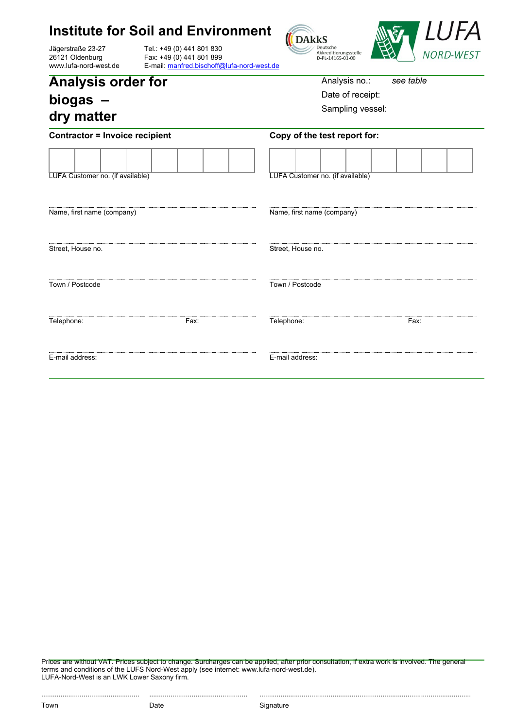## **Institute for Soil and Environment**

Jägerstraße 23-27 26121 Oldenburg www.lufa-nord-west.de

Tel.: +49 (0) 441 801 830 Fax: +49 (0) 441 801 899 E-mail: [manfred.bischoff@lufa-nord-west.de](mailto:manfred.bischoff@lufa-nord-west.de)





| <b>Analysis order for</b> |  |
|---------------------------|--|
| biogas $-$                |  |
| dry matter                |  |

Analysis no.: *see table*

Date of receipt:

Sampling vessel:

| <b>Contractor = Invoice recipient</b> |      | Copy of the test report for:     |      |  |
|---------------------------------------|------|----------------------------------|------|--|
| LUFA Customer no. (if available)      |      | LUFA Customer no. (if available) |      |  |
| Name, first name (company)            |      | Name, first name (company)       |      |  |
| Street, House no.                     |      | Street, House no.                |      |  |
| Town / Postcode                       |      | Town / Postcode                  |      |  |
| Telephone:                            | Fax: | Telephone:                       | Fax: |  |
| E-mail address:                       |      | E-mail address:                  |      |  |

Prices are without VAT. Prices subject to change. Surcharges can be applied, after prior consultation, if extra work is involved. The general terms and conditions of the LUFS Nord-West apply (see internet: www.lufa-nord-west.de). LUFA-Nord-West is an LWK Lower Saxony firm.

................................................... ................................................... ..............................................................................................................